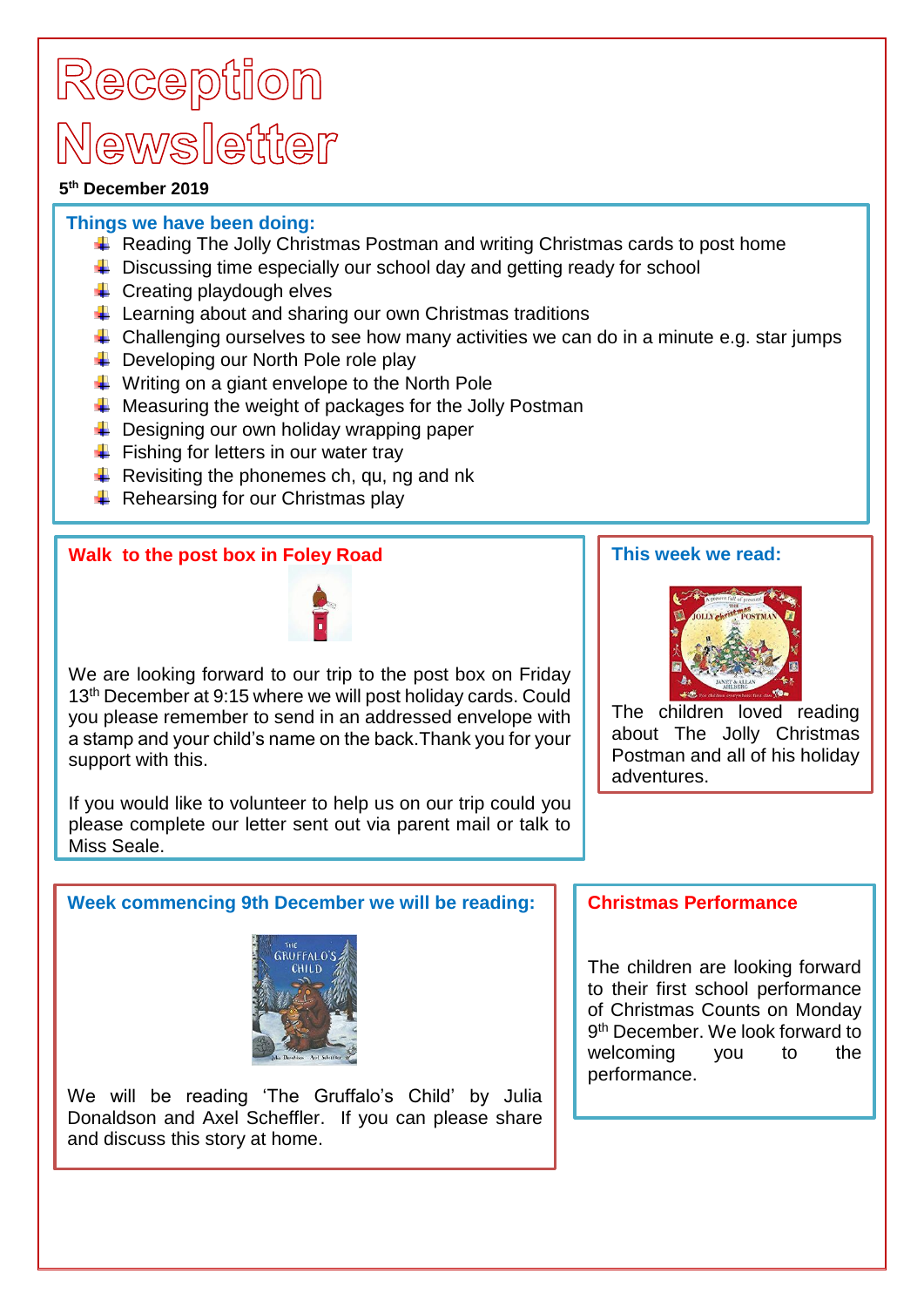# Reception Newsletter

#### **5 th December 2019**

### **Things we have been doing:**

- $\triangleq$  Reading The Jolly Christmas Postman and writing Christmas cards to post home
- $\bigstar$  Discussing time especially our school day and getting ready for school
- $\leftarrow$  Creating playdough elves
- $\downarrow$  Learning about and sharing our own Christmas traditions
- $\downarrow$  Challenging ourselves to see how many activities we can do in a minute e.g. star jumps
- $\overline{\phantom{a} \bullet}$  Developing our North Pole role play
- $\downarrow$  Writing on a giant envelope to the North Pole
- $\frac{1}{\sqrt{1}}$  Measuring the weight of packages for the Jolly Postman
- $\leftarrow$  Designing our own holiday wrapping paper
- $\ddot{\bullet}$  Fishing for letters in our water trav
- Revisiting the phonemes ch, qu, ng and nk
- $\leftarrow$  Rehearsing for our Christmas play

### **Walk to the post box in Foley Road**



We are looking forward to our trip to the post box on Friday 13<sup>th</sup> December at 9:15 where we will post holiday cards. Could you please remember to send in an addressed envelope with a stamp and your child's name on the back.Thank you for your support with this.

If you would like to volunteer to help us on our trip could you please complete our letter sent out via parent mail or talk to Miss Seale.

### **This week we read:**



The children loved reading about The Jolly Christmas Postman and all of his holiday adventures.

# **Week commencing 9th December we will be reading:**



We will be reading 'The Gruffalo's Child' by Julia Donaldson and Axel Scheffler. If you can please share and discuss this story at home.

### **Christmas Performance**

The children are looking forward to their first school performance of Christmas Counts on Monday 9 th December. We look forward to welcoming you to the performance.